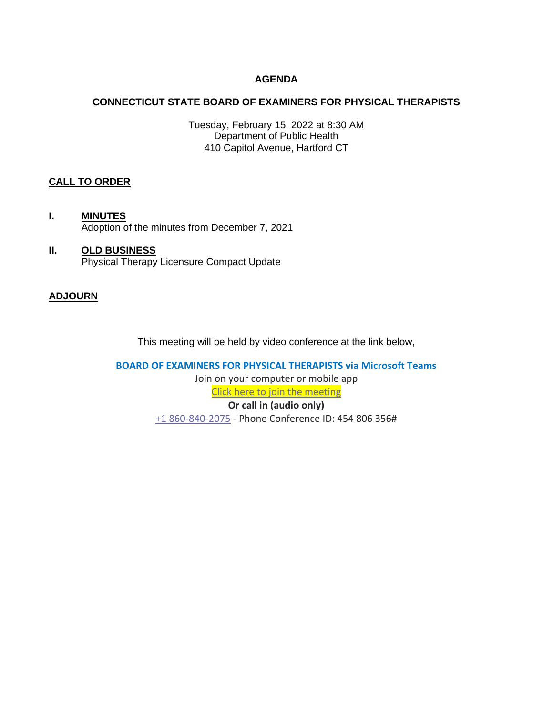# **AGENDA**

#### **CONNECTICUT STATE BOARD OF EXAMINERS FOR PHYSICAL THERAPISTS**

Tuesday, February 15, 2022 at 8:30 AM Department of Public Health 410 Capitol Avenue, Hartford CT

# **CALL TO ORDER**

- **I. MINUTES** Adoption of the minutes from December 7, 2021
- **II. OLD BUSINESS** Physical Therapy Licensure Compact Update

# **ADJOURN**

This meeting will be held by video conference at the link below,

**BOARD OF EXAMINERS FOR PHYSICAL THERAPISTS via Microsoft Teams**

Join on your computer or mobile app

[Click here to join the meeting](https://teams.microsoft.com/l/meetup-join/19%3ameeting_NzFkNDdhZjItODI5ZC00NzkwLWFkMWYtYzYxODY4YmViMGY4%40thread.v2/0?context=%7b%22Tid%22%3a%22118b7cfa-a3dd-48b9-b026-31ff69bb738b%22%2c%22Oid%22%3a%22735c43f2-4aee-4b5f-b05e-0c535078f579%22%7d)

# **Or call in (audio only)**

[+1 860-840-2075](tel:+18608402075,,454806356# ) - Phone Conference ID: 454 806 356#